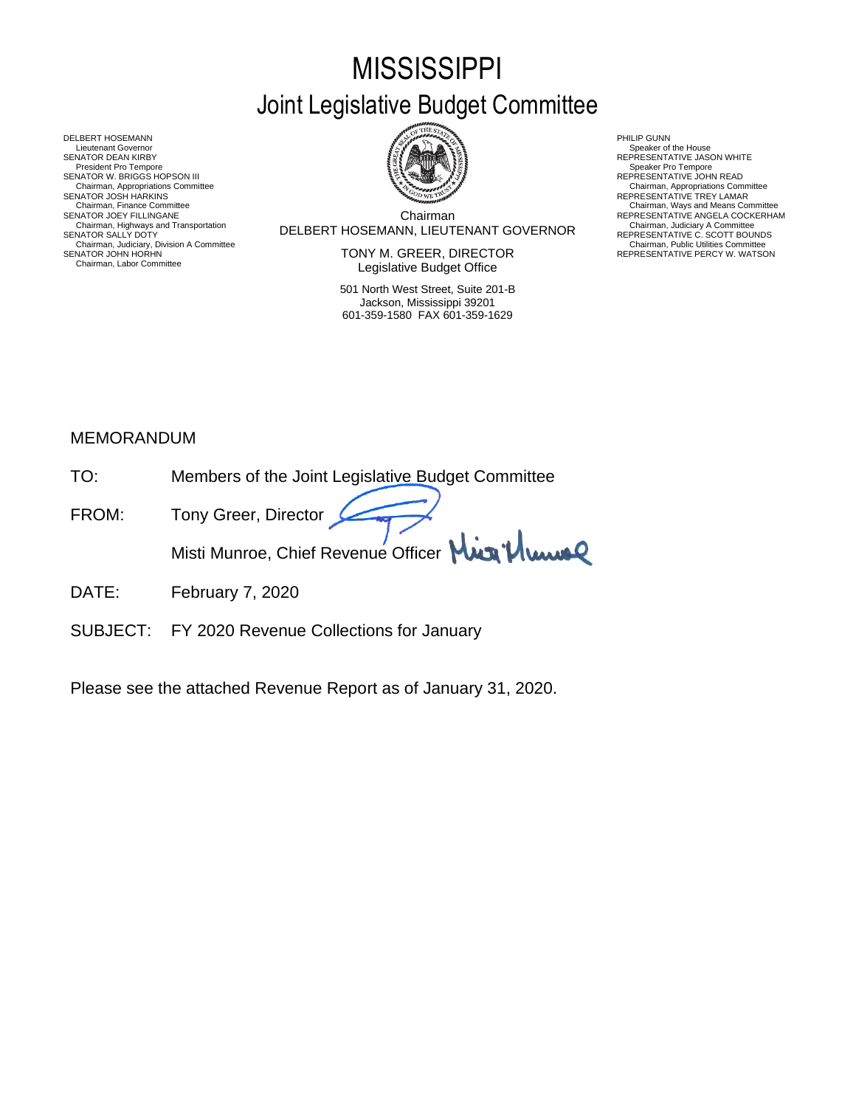# **MISSISSIPPI** Joint Legislative Budget Committee



Chairman DELBERT HOSEMANN, LIEUTENANT GOVERNOR Chairman, Highways and Transportation Chairman, Judiciary A Committee SENATOR SALLY DOTY REPRESENTATIVE C. SCOTT BOUNDS Chairman, Finance Committee Committee Chairman, Ways and Means Committee Chairman, Ways and Means Committee Chairman<br>Chairman Chairman Chairman REPRESENTATIVE ANGELA COCKERHA

SENATOR JOHN HORHN NEWSTATIVE PERCY W. WATSON TONY M. GREER, DIRECTOR THE REPRESENTATIVE PERCY W. WATSON Legislative Budget Office

> 501 North West Street, Suite 201-B Jackson, Mississippi 39201 601-359-1580 FAX 601-359-1629

- 
- 

Chairman, Appropriations Committee<br>REPRESENTATIVE TREY LAMAR

- 
- REPRESENTATIVE ANGELA COCKERHAM<br>Chairman, Judiciary A Committee<br>REPRESENTATIVE C. SCOTT BOUNDS<br>Chairman, Public Utilities Committee<br>REPRESENTATIVE PERCY W. WATSON

DELBERT HOSEMANN PHILIP GUNN<br>Lieutenant Governor (Philip Gunn) and the company of the company of the company of the company of the company<br>SENATOR DEAN KIRBY (PHILIP GUNN) AND REPRESENTA Lieutenant Governor<br>
SENATOR DEAN KIRBY REPRESENTATIVE JASON WHITE<br>
President Pro Tempore Speaker Pro Tempore Speaker Pro Tempore SENATOR W. BRIGGS HOPSON III READ AND READ AND READ AND REPRESENTATIVE JOHN READ Chairman, Appropriations Committee<br>SENATOR JOSH HARKINS<br>Chairman, Finance Committee Chairman, Highways and Transportation<br>SENATOR SALLY DOTY<br>Chairman, Judiciary, Division A Committee<br>Chairman, Judiciary, Division A Committee<br>SENATOR JOHN HORHN Chairman, Labor Committee

# MEMORANDUM

| TO <sup>.</sup> | Members of the Joint Legislative Budget Committee |
|-----------------|---------------------------------------------------|
| FROM:           | Tony Greer, Director                              |
|                 | Misti Munroe, Chief Revenue Officer Min Plume     |

- DATE: February 7, 2020
- SUBJECT: FY 2020 Revenue Collections for January

Please see the attached Revenue Report as of January 31, 2020.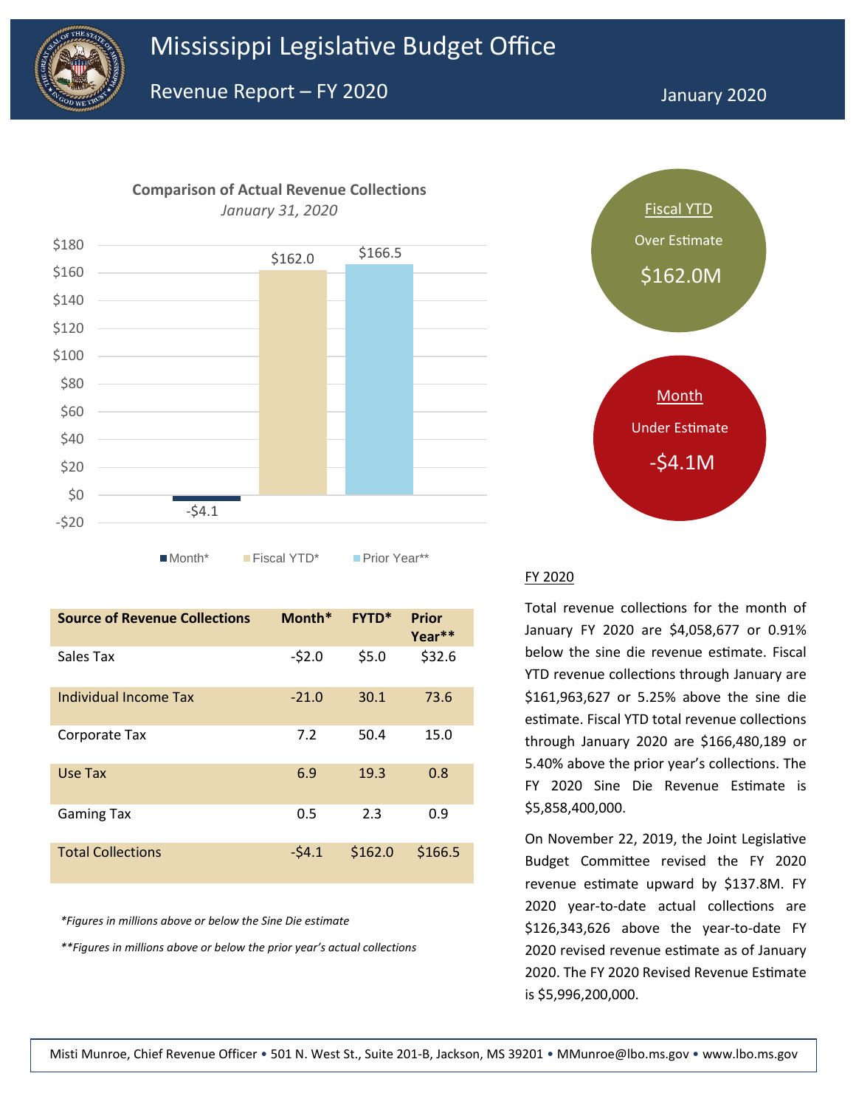

**Comparison of Actual Revenue Collections** 



■Month\* Fiscal YTD\* Prior Year\*\*

| <b>Source of Revenue Collections</b> | Month*  | <b>FYTD*</b> | <b>Prior</b><br>Year** |
|--------------------------------------|---------|--------------|------------------------|
| Sales Tax                            | $-52.0$ | \$5.0        | \$32.6                 |
| Individual Income Tax                | $-21.0$ | 30.1         | 73.6                   |
| Corporate Tax                        | 7.2     | 50.4         | 15.0                   |
| Use Tax                              | 6.9     | 19.3         | 0.8                    |
| Gaming Tax                           | 0.5     | 2.3          | 0.9                    |
| <b>Total Collections</b>             | $-54.1$ | \$162.0      | \$166.5                |

*\*Figures in millions above or below the Sine Die estimate*

*\*\*Figures in millions above or below the prior year's actual collections*



#### FY 2020

Total revenue collections for the month of January FY 2020 are \$4,058,677 or 0.91% below the sine die revenue estimate. Fiscal YTD revenue collections through January are \$161,963,627 or 5.25% above the sine die estimate. Fiscal YTD total revenue collections through January 2020 are \$166,480,189 or 5.40% above the prior year's collections. The FY 2020 Sine Die Revenue Estimate is \$5,858,400,000.

On November 22, 2019, the Joint Legislative Budget Committee revised the FY 2020 revenue estimate upward by \$137.8M. FY 2020 year-to-date actual collections are \$126,343,626 above the year-to-date FY 2020 revised revenue estimate as of January 2020. The FY 2020 Revised Revenue Estimate is \$5,996,200,000.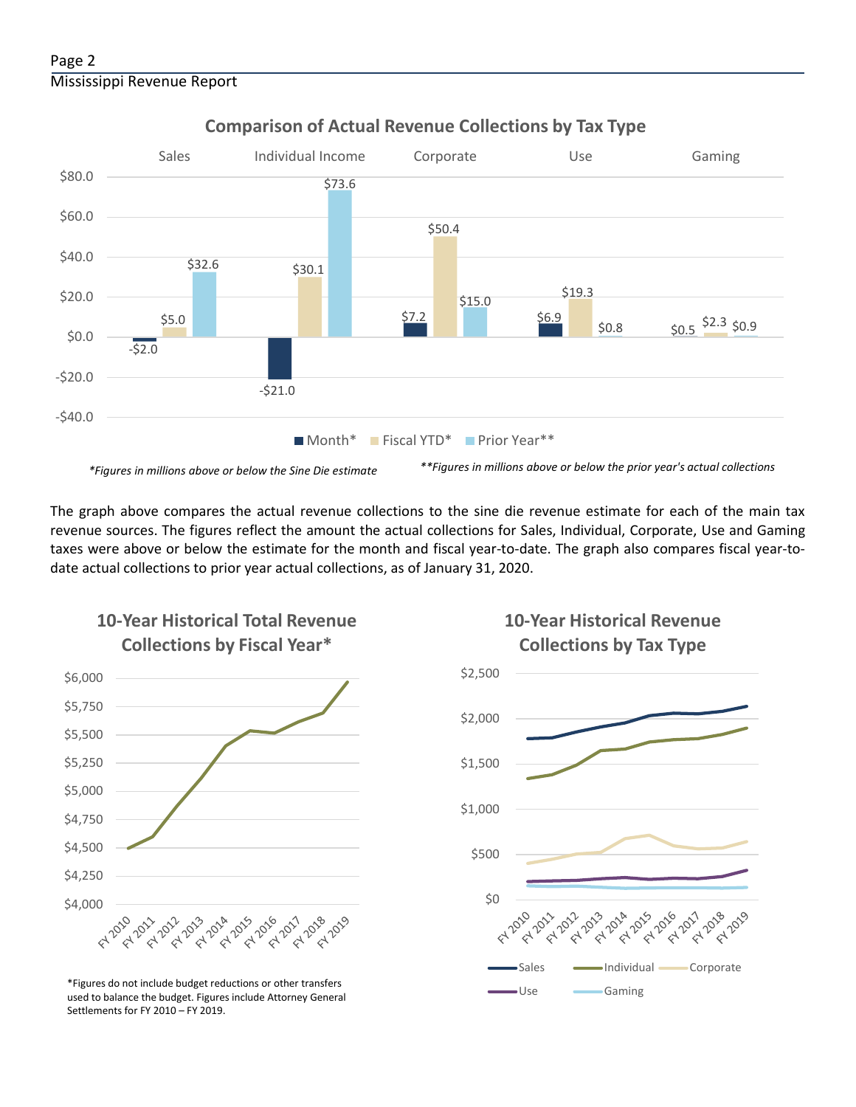

## **Comparison of Actual Revenue Collections by Tax Type**

The graph above compares the actual revenue collections to the sine die revenue estimate for each of the main tax revenue sources. The figures reflect the amount the actual collections for Sales, Individual, Corporate, Use and Gaming taxes were above or below the estimate for the month and fiscal year-to-date. The graph also compares fiscal year-todate actual collections to prior year actual collections, as of January 31, 2020.



**10-Year Historical Total Revenue** 

Use Gaming \*Figures do not include budget reductions or other transfers used to balance the budget. Figures include Attorney General Settlements for FY 2010 – FY 2019.

# **10-Year Historical Revenue Collections by Tax Type**

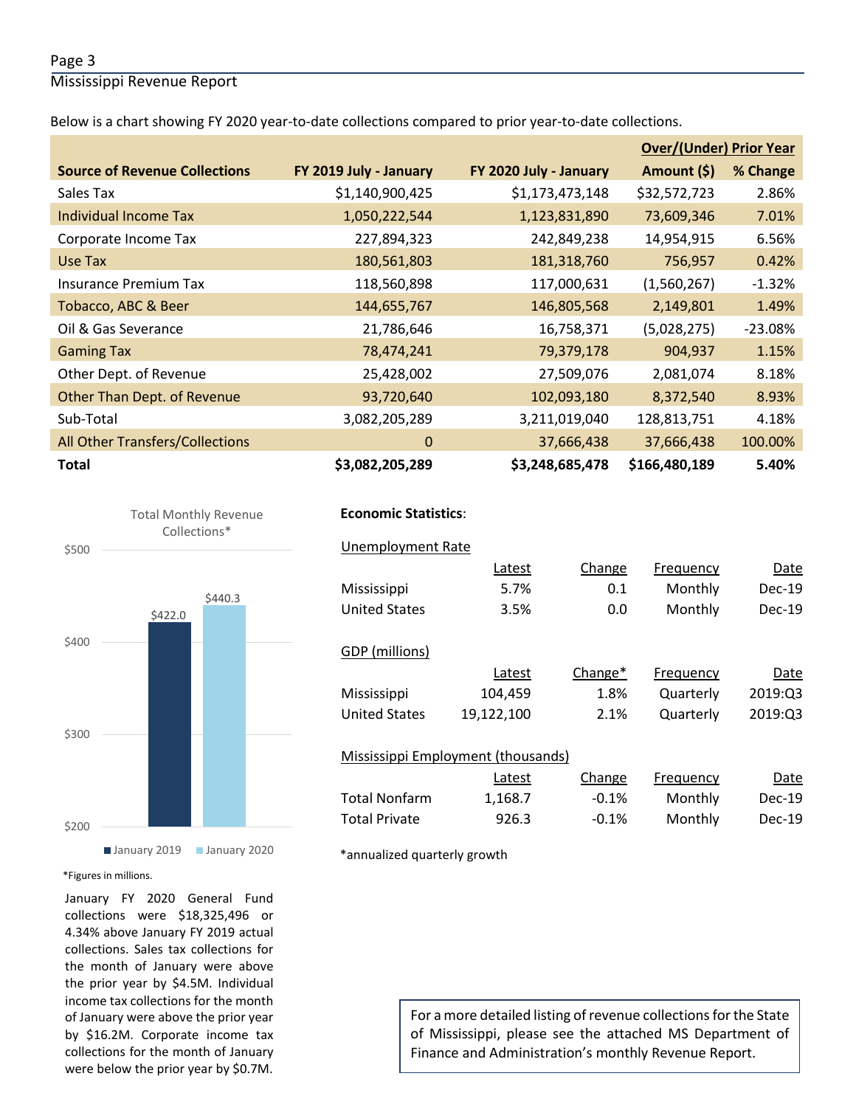### Page 3

Mississippi Revenue Report

Below is a chart showing FY 2020 year-to-date collections compared to prior year-to-date collections.

|                                        |                        |                        | <b>Over/(Under) Prior Year</b> |           |  |
|----------------------------------------|------------------------|------------------------|--------------------------------|-----------|--|
| <b>Source of Revenue Collections</b>   | FY 2019 July - January | FY 2020 July - January | Amount (\$)                    | % Change  |  |
| Sales Tax                              | \$1,140,900,425        | \$1,173,473,148        | \$32,572,723                   | 2.86%     |  |
| Individual Income Tax                  | 1,050,222,544          | 1,123,831,890          | 73,609,346                     | 7.01%     |  |
| Corporate Income Tax                   | 227,894,323            | 242,849,238            | 14,954,915                     | 6.56%     |  |
| Use Tax                                | 180,561,803            | 181,318,760            | 756,957                        | 0.42%     |  |
| <b>Insurance Premium Tax</b>           | 118,560,898            | 117,000,631            | (1,560,267)                    | $-1.32%$  |  |
| Tobacco, ABC & Beer                    | 144,655,767            | 146,805,568            | 2,149,801                      | 1.49%     |  |
| Oil & Gas Severance                    | 21,786,646             | 16,758,371             | (5,028,275)                    | $-23.08%$ |  |
| <b>Gaming Tax</b>                      | 78,474,241             | 79,379,178             | 904,937                        | 1.15%     |  |
| Other Dept. of Revenue                 | 25,428,002             | 27,509,076             | 2,081,074                      | 8.18%     |  |
| Other Than Dept. of Revenue            | 93,720,640             | 102,093,180            | 8,372,540                      | 8.93%     |  |
| Sub-Total                              | 3,082,205,289          | 3,211,019,040          | 128,813,751                    | 4.18%     |  |
| <b>All Other Transfers/Collections</b> | $\mathbf{0}$           | 37,666,438             | 37,666,438                     | 100.00%   |  |
| <b>Total</b>                           | \$3,082,205,289        | \$3,248,685,478        | \$166,480,189                  | 5.40%     |  |





## **Economic Statistics**:  **Economic Statistics**:

| Unemployment Rate    |                                    |         |           |          |
|----------------------|------------------------------------|---------|-----------|----------|
|                      | Latest                             | Change  | Frequency | Date     |
| Mississippi          | 5.7%                               | 0.1     | Monthly   | $Dec-19$ |
| United States        | 3.5%                               | 0.0     | Monthly   | Dec-19   |
|                      |                                    |         |           |          |
| GDP (millions)       |                                    |         |           |          |
|                      | Latest                             | Change* | Frequency | Date     |
| Mississippi          | 104,459                            | 1.8%    | Quarterly | 2019:Q3  |
| <b>United States</b> | 19,122,100                         | 2.1%    | Quarterly | 2019:Q3  |
|                      |                                    |         |           |          |
|                      | Mississippi Employment (thousands) |         |           |          |
|                      | Latest                             | Change  | Frequency | Date     |
| <b>Total Nonfarm</b> | 1,168.7                            | $-0.1%$ | Monthly   | $Dec-19$ |
| <b>Total Private</b> | 926.3                              | $-0.1%$ | Monthly   | Dec-19   |
|                      |                                    |         |           |          |

\*annualized quarterly growth

#### \*Figures in millions.

January FY 2020 General Fund collections were \$18,325,496 or 4.34% above January FY 2019 actual collections. Sales tax collections for the month of January were above the prior year by \$4.5M. Individual income tax collections for the month of January were above the prior year by \$16.2M. Corporate income tax collections for the month of January were below the prior year by \$0.7M.

For a more detailed listing of revenue collections for the State of Mississippi, please see the attached MS Department of Finance and Administration's monthly Revenue Report.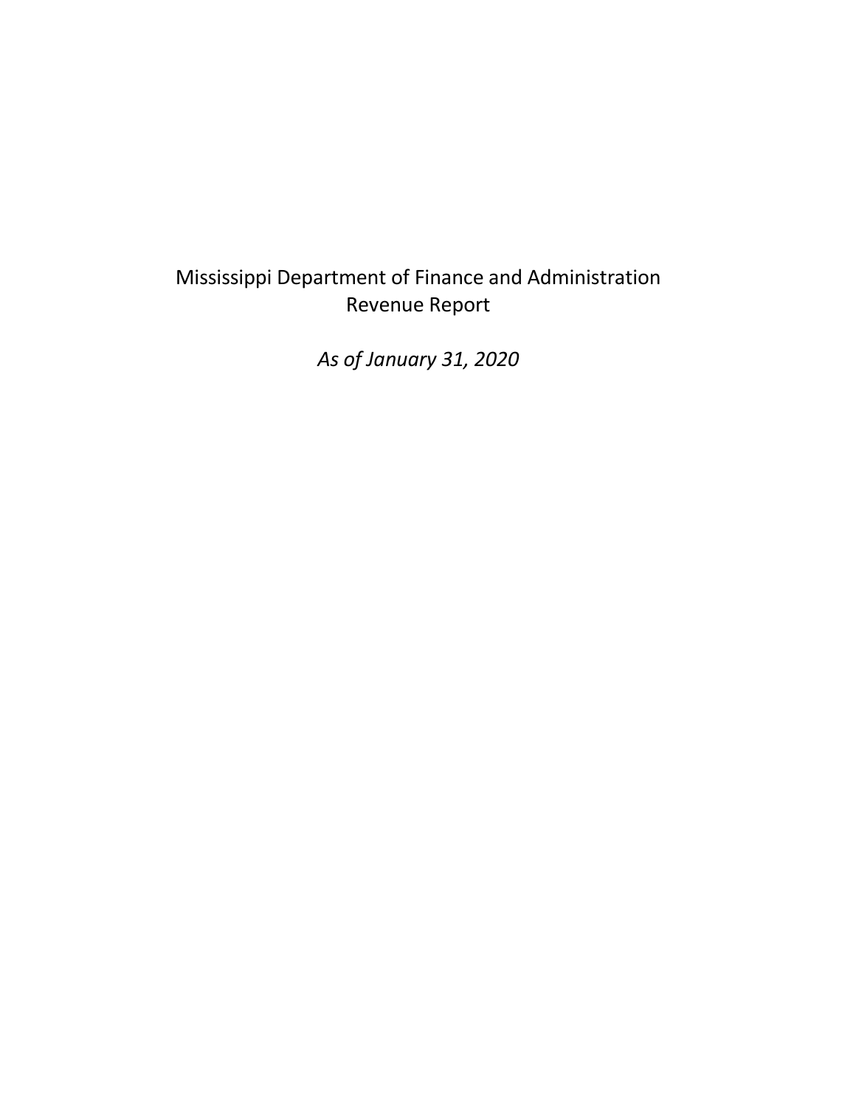# Mississippi Department of Finance and Administration Revenue Report

*As of January 31, 2020*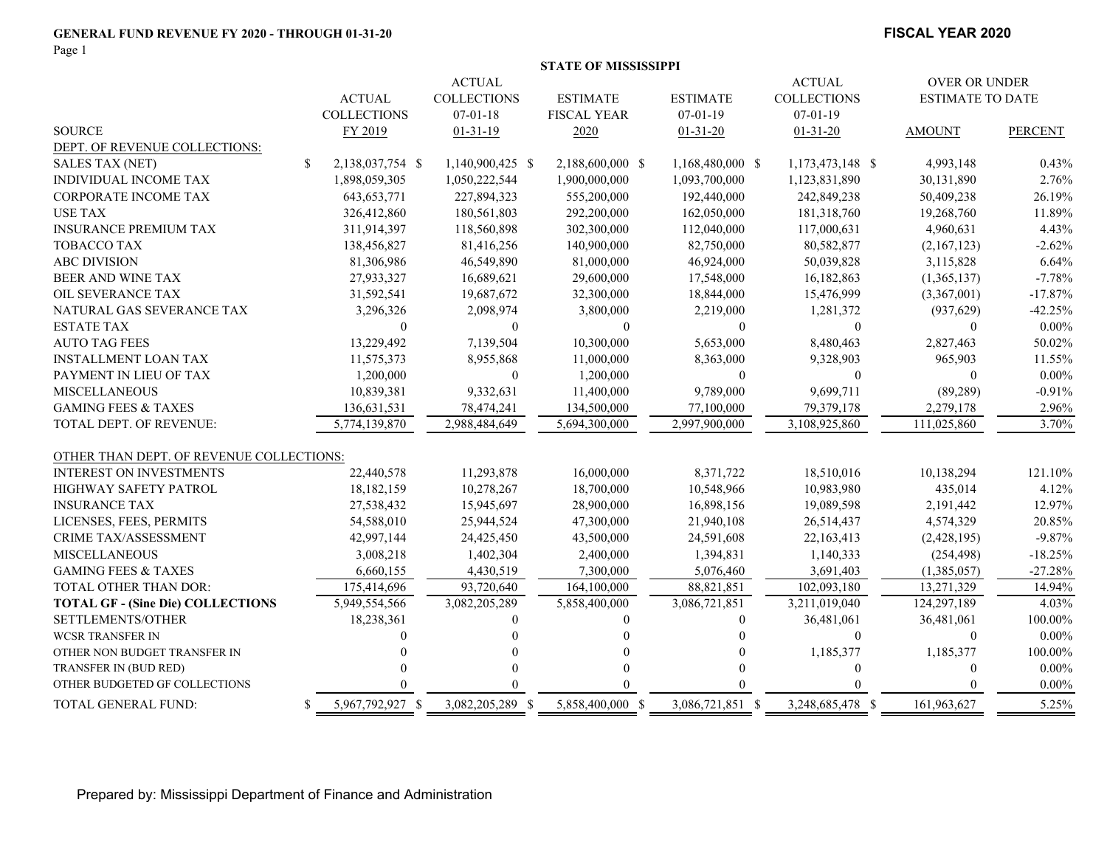#### **GENERAL FUND REVENUE FY 2020 - THROUGH 01-31-20**

Page 1

#### **FISCAL YEAR 2020**

|                                          |               |                    |                    | <b>STATE OF MISSISSIPPI</b> |                  |                    |                         |                |
|------------------------------------------|---------------|--------------------|--------------------|-----------------------------|------------------|--------------------|-------------------------|----------------|
|                                          |               |                    | <b>ACTUAL</b>      |                             |                  | <b>ACTUAL</b>      | <b>OVER OR UNDER</b>    |                |
|                                          |               | <b>ACTUAL</b>      | <b>COLLECTIONS</b> | <b>ESTIMATE</b>             | <b>ESTIMATE</b>  | <b>COLLECTIONS</b> | <b>ESTIMATE TO DATE</b> |                |
|                                          |               | <b>COLLECTIONS</b> | $07 - 01 - 18$     | <b>FISCAL YEAR</b>          | $07 - 01 - 19$   | $07-01-19$         |                         |                |
| <b>SOURCE</b>                            |               | FY 2019            | $01 - 31 - 19$     | 2020                        | $01 - 31 - 20$   | $01 - 31 - 20$     | <b>AMOUNT</b>           | <b>PERCENT</b> |
| DEPT. OF REVENUE COLLECTIONS:            |               |                    |                    |                             |                  |                    |                         |                |
| <b>SALES TAX (NET)</b>                   | <sup>\$</sup> | 2,138,037,754 \$   | 1,140,900,425 \$   | 2,188,600,000 \$            | 1,168,480,000 \$ | 1,173,473,148 \$   | 4,993,148               | 0.43%          |
| <b>INDIVIDUAL INCOME TAX</b>             |               | 1,898,059,305      | 1,050,222,544      | 1,900,000,000               | 1,093,700,000    | 1,123,831,890      | 30,131,890              | 2.76%          |
| <b>CORPORATE INCOME TAX</b>              |               | 643, 653, 771      | 227,894,323        | 555,200,000                 | 192,440,000      | 242,849,238        | 50,409,238              | 26.19%         |
| USE TAX                                  |               | 326,412,860        | 180,561,803        | 292,200,000                 | 162,050,000      | 181,318,760        | 19,268,760              | 11.89%         |
| <b>INSURANCE PREMIUM TAX</b>             |               | 311,914,397        | 118,560,898        | 302,300,000                 | 112,040,000      | 117,000,631        | 4,960,631               | 4.43%          |
| <b>TOBACCO TAX</b>                       |               | 138,456,827        | 81,416,256         | 140,900,000                 | 82,750,000       | 80,582,877         | (2,167,123)             | $-2.62%$       |
| <b>ABC DIVISION</b>                      |               | 81,306,986         | 46,549,890         | 81,000,000                  | 46,924,000       | 50,039,828         | 3,115,828               | 6.64%          |
| BEER AND WINE TAX                        |               | 27,933,327         | 16,689,621         | 29,600,000                  | 17,548,000       | 16,182,863         | (1,365,137)             | $-7.78%$       |
| <b>OIL SEVERANCE TAX</b>                 |               | 31,592,541         | 19,687,672         | 32,300,000                  | 18,844,000       | 15,476,999         | (3,367,001)             | $-17.87%$      |
| NATURAL GAS SEVERANCE TAX                |               | 3,296,326          | 2,098,974          | 3,800,000                   | 2,219,000        | 1,281,372          | (937, 629)              | $-42.25%$      |
| <b>ESTATE TAX</b>                        |               | $\theta$           | $\theta$           | $\theta$                    | $\mathbf{0}$     | $\Omega$           | $\overline{0}$          | $0.00\%$       |
| <b>AUTO TAG FEES</b>                     |               | 13,229,492         | 7,139,504          | 10,300,000                  | 5,653,000        | 8,480,463          | 2,827,463               | 50.02%         |
| <b>INSTALLMENT LOAN TAX</b>              |               | 11,575,373         | 8,955,868          | 11,000,000                  | 8,363,000        | 9,328,903          | 965,903                 | 11.55%         |
| PAYMENT IN LIEU OF TAX                   |               | 1,200,000          | $\mathbf{0}$       | 1,200,000                   | $\mathbf{0}$     | $\overline{0}$     | $\mathbf{0}$            | $0.00\%$       |
| <b>MISCELLANEOUS</b>                     |               | 10,839,381         | 9,332,631          | 11,400,000                  | 9,789,000        | 9,699,711          | (89, 289)               | $-0.91%$       |
| <b>GAMING FEES &amp; TAXES</b>           |               | 136,631,531        | 78,474,241         | 134,500,000                 | 77,100,000       | 79,379,178         | 2,279,178               | 2.96%          |
| TOTAL DEPT. OF REVENUE:                  |               | 5,774,139,870      | 2,988,484,649      | 5,694,300,000               | 2,997,900,000    | 3,108,925,860      | 111,025,860             | 3.70%          |
|                                          |               |                    |                    |                             |                  |                    |                         |                |
| OTHER THAN DEPT. OF REVENUE COLLECTIONS: |               |                    |                    |                             |                  |                    |                         |                |
| <b>INTEREST ON INVESTMENTS</b>           |               | 22,440,578         | 11,293,878         | 16,000,000                  | 8,371,722        | 18,510,016         | 10,138,294              | 121.10%        |
| HIGHWAY SAFETY PATROL                    |               | 18,182,159         | 10,278,267         | 18,700,000                  | 10,548,966       | 10,983,980         | 435,014                 | 4.12%          |
| <b>INSURANCE TAX</b>                     |               | 27,538,432         | 15,945,697         | 28,900,000                  | 16,898,156       | 19,089,598         | 2,191,442               | 12.97%         |
| LICENSES, FEES, PERMITS                  |               | 54,588,010         | 25,944,524         | 47,300,000                  | 21,940,108       | 26,514,437         | 4,574,329               | 20.85%         |
| CRIME TAX/ASSESSMENT                     |               | 42,997,144         | 24,425,450         | 43,500,000                  | 24,591,608       | 22,163,413         | (2,428,195)             | $-9.87%$       |
| <b>MISCELLANEOUS</b>                     |               | 3,008,218          | 1,402,304          | 2,400,000                   | 1,394,831        | 1,140,333          | (254, 498)              | $-18.25%$      |
| <b>GAMING FEES &amp; TAXES</b>           |               | 6,660,155          | 4,430,519          | 7,300,000                   | 5,076,460        | 3,691,403          | (1,385,057)             | $-27.28%$      |
| <b>TOTAL OTHER THAN DOR:</b>             |               | 175,414,696        | 93,720,640         | 164,100,000                 | 88,821,851       | 102,093,180        | 13,271,329              | 14.94%         |
| <b>TOTAL GF - (Sine Die) COLLECTIONS</b> |               | 5,949,554,566      | 3,082,205,289      | 5,858,400,000               | 3,086,721,851    | 3,211,019,040      | 124,297,189             | 4.03%          |
| SETTLEMENTS/OTHER                        |               | 18,238,361         | $\Omega$           | $\theta$                    | 0                | 36,481,061         | 36,481,061              | 100.00%        |
| <b>WCSR TRANSFER IN</b>                  |               |                    |                    | $\Omega$                    |                  | $\Omega$           | $\mathbf{0}$            | $0.00\%$       |
| OTHER NON BUDGET TRANSFER IN             |               |                    |                    | $\Omega$                    |                  | 1,185,377          | 1,185,377               | 100.00%        |
| TRANSFER IN (BUD RED)                    |               |                    | $\Omega$           | $\Omega$                    |                  | $\theta$           | $\mathbf{0}$            | $0.00\%$       |
| OTHER BUDGETED GF COLLECTIONS            |               |                    |                    |                             |                  |                    |                         | $0.00\%$       |
| TOTAL GENERAL FUND:                      | S.            | 5,967,792,927 \$   | 3,082,205,289 \$   | 5,858,400,000 \$            | 3,086,721,851 \$ | 3,248,685,478 \$   | 161,963,627             | 5.25%          |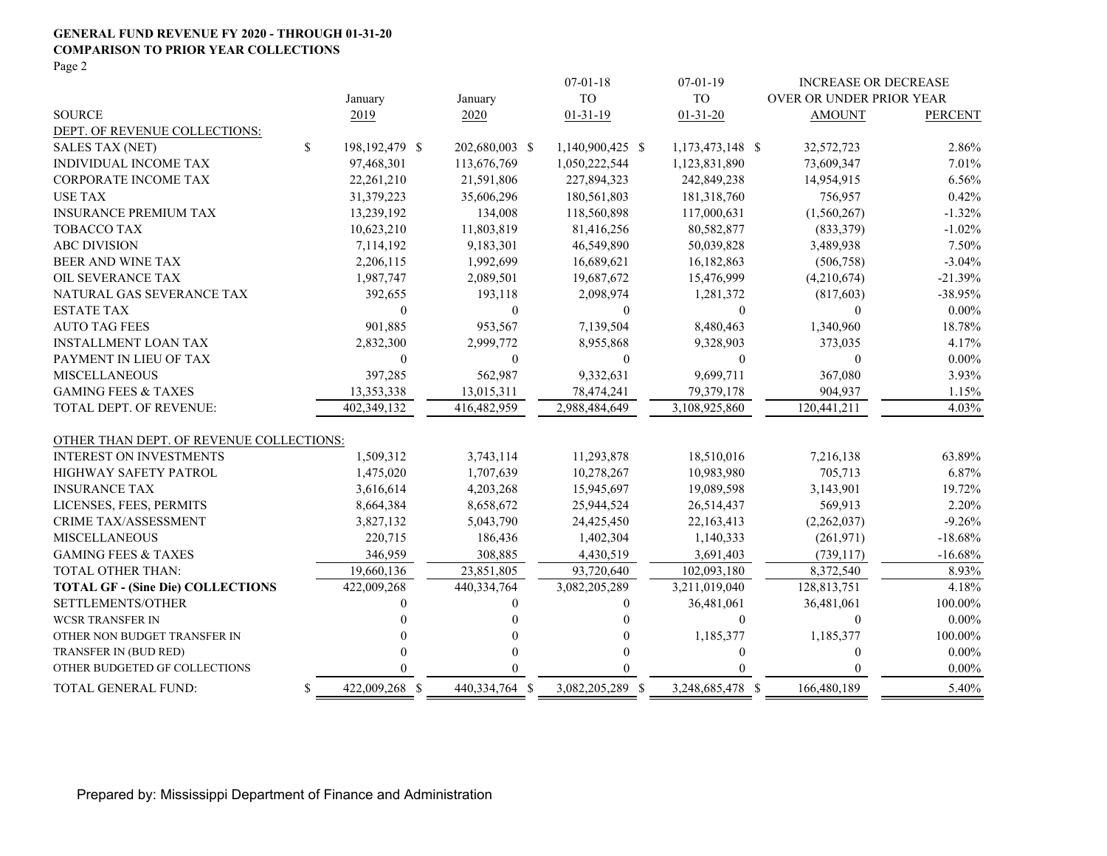#### **GENERAL FUND REVENUE FY 2020 - THROUGH 01-31-20 COMPARISON TO PRIOR YEAR COLLECTIONS**

Page 2

|                                          |                      |                |              | $07 - 01 - 18$   |                | $07-01-19$       |                          | <b>INCREASE OR DECREASE</b> |
|------------------------------------------|----------------------|----------------|--------------|------------------|----------------|------------------|--------------------------|-----------------------------|
|                                          | January              | January        |              | <b>TO</b>        |                | <b>TO</b>        | OVER OR UNDER PRIOR YEAR |                             |
| <b>SOURCE</b>                            | 2019                 | 2020           |              | $01 - 31 - 19$   |                | $01 - 31 - 20$   | <b>AMOUNT</b>            | <b>PERCENT</b>              |
| DEPT. OF REVENUE COLLECTIONS:            |                      |                |              |                  |                |                  |                          |                             |
| SALES TAX (NET)                          | \$<br>198,192,479 \$ | 202,680,003 \$ |              | 1,140,900,425 \$ |                | 1,173,473,148 \$ | 32,572,723               | 2.86%                       |
| <b>INDIVIDUAL INCOME TAX</b>             | 97,468,301           | 113,676,769    |              | 1,050,222,544    |                | 1,123,831,890    | 73,609,347               | 7.01%                       |
| <b>CORPORATE INCOME TAX</b>              | 22,261,210           | 21,591,806     |              | 227,894,323      |                | 242,849,238      | 14,954,915               | 6.56%                       |
| <b>USE TAX</b>                           | 31,379,223           | 35,606,296     |              | 180,561,803      |                | 181,318,760      | 756,957                  | 0.42%                       |
| <b>INSURANCE PREMIUM TAX</b>             | 13,239,192           |                | 134,008      | 118,560,898      |                | 117,000,631      | (1,560,267)              | $-1.32%$                    |
| <b>TOBACCO TAX</b>                       | 10,623,210           | 11,803,819     |              |                  | 81,416,256     | 80,582,877       | (833,379)                | $-1.02%$                    |
| <b>ABC DIVISION</b>                      | 7,114,192            | 9,183,301      |              |                  | 46,549,890     | 50,039,828       | 3,489,938                | 7.50%                       |
| BEER AND WINE TAX                        | 2,206,115            | 1,992,699      |              |                  | 16,689,621     | 16,182,863       | (506, 758)               | $-3.04%$                    |
| OIL SEVERANCE TAX                        | 1,987,747            | 2,089,501      |              |                  | 19,687,672     | 15,476,999       | (4,210,674)              | $-21.39%$                   |
| NATURAL GAS SEVERANCE TAX                | 392,655              |                | 193,118      |                  | 2,098,974      | 1,281,372        | (817, 603)               | $-38.95%$                   |
| <b>ESTATE TAX</b>                        | $\theta$             |                | $\mathbf{0}$ |                  | $\overline{0}$ | $\overline{0}$   | $\theta$                 | $0.00\%$                    |
| <b>AUTO TAG FEES</b>                     | 901,885              |                | 953,567      |                  | 7,139,504      | 8,480,463        | 1,340,960                | 18.78%                      |
| <b>INSTALLMENT LOAN TAX</b>              | 2,832,300            | 2,999,772      |              |                  | 8,955,868      | 9,328,903        | 373,035                  | 4.17%                       |
| PAYMENT IN LIEU OF TAX                   | $\mathbf{0}$         |                | $\mathbf{0}$ |                  | $\mathbf{0}$   | $\boldsymbol{0}$ | $\mathbf{0}$             | $0.00\%$                    |
| <b>MISCELLANEOUS</b>                     | 397,285              |                | 562,987      |                  | 9,332,631      | 9,699,711        | 367,080                  | 3.93%                       |
| <b>GAMING FEES &amp; TAXES</b>           | 13,353,338           | 13,015,311     |              |                  | 78,474,241     | 79,379,178       | 904,937                  | 1.15%                       |
| TOTAL DEPT. OF REVENUE:                  | 402,349,132          | 416,482,959    |              | 2,988,484,649    |                | 3,108,925,860    | 120,441,211              | 4.03%                       |
|                                          |                      |                |              |                  |                |                  |                          |                             |
| OTHER THAN DEPT. OF REVENUE COLLECTIONS: |                      |                |              |                  |                |                  |                          |                             |
| INTEREST ON INVESTMENTS                  | 1,509,312            | 3,743,114      |              |                  | 11,293,878     | 18,510,016       | 7,216,138                | 63.89%                      |
| <b>HIGHWAY SAFETY PATROL</b>             | 1,475,020            | 1,707,639      |              |                  | 10,278,267     | 10,983,980       | 705,713                  | 6.87%                       |
| <b>INSURANCE TAX</b>                     | 3,616,614            | 4,203,268      |              |                  | 15,945,697     | 19,089,598       | 3,143,901                | 19.72%                      |
| LICENSES, FEES, PERMITS                  | 8,664,384            | 8,658,672      |              |                  | 25,944,524     | 26,514,437       | 569,913                  | 2.20%                       |
| <b>CRIME TAX/ASSESSMENT</b>              | 3,827,132            | 5,043,790      |              |                  | 24,425,450     | 22,163,413       | (2,262,037)              | $-9.26%$                    |
| <b>MISCELLANEOUS</b>                     | 220,715              |                | 186,436      |                  | 1,402,304      | 1,140,333        | (261, 971)               | $-18.68%$                   |
| <b>GAMING FEES &amp; TAXES</b>           | 346,959              |                | 308,885      |                  | 4,430,519      | 3,691,403        | (739, 117)               | $-16.68%$                   |
| <b>TOTAL OTHER THAN:</b>                 | 19,660,136           | 23,851,805     |              |                  | 93,720,640     | 102,093,180      | 8,372,540                | 8.93%                       |
| <b>TOTAL GF - (Sine Die) COLLECTIONS</b> | 422,009,268          | 440,334,764    |              | 3,082,205,289    |                | 3,211,019,040    | 128,813,751              | 4.18%                       |
| SETTLEMENTS/OTHER                        |                      |                | $\theta$     |                  | 0              | 36,481,061       | 36,481,061               | 100.00%                     |
| <b>WCSR TRANSFER IN</b>                  |                      |                | 0            |                  | 0              | $\theta$         | $\mathbf{0}$             | $0.00\%$                    |
| OTHER NON BUDGET TRANSFER IN             |                      |                |              |                  | 0              | 1,185,377        | 1,185,377                | 100.00%                     |
| TRANSFER IN (BUD RED)                    |                      |                |              |                  | 0              | $\mathbf{0}$     | $\theta$                 | $0.00\%$                    |
| OTHER BUDGETED GF COLLECTIONS            |                      |                |              |                  |                | $\Omega$         | $\Omega$                 | $0.00\%$                    |
| TOTAL GENERAL FUND:                      | \$<br>422,009,268 \$ | 440,334,764 \$ |              | 3,082,205,289 \$ |                | 3,248,685,478 \$ | 166,480,189              | 5.40%                       |